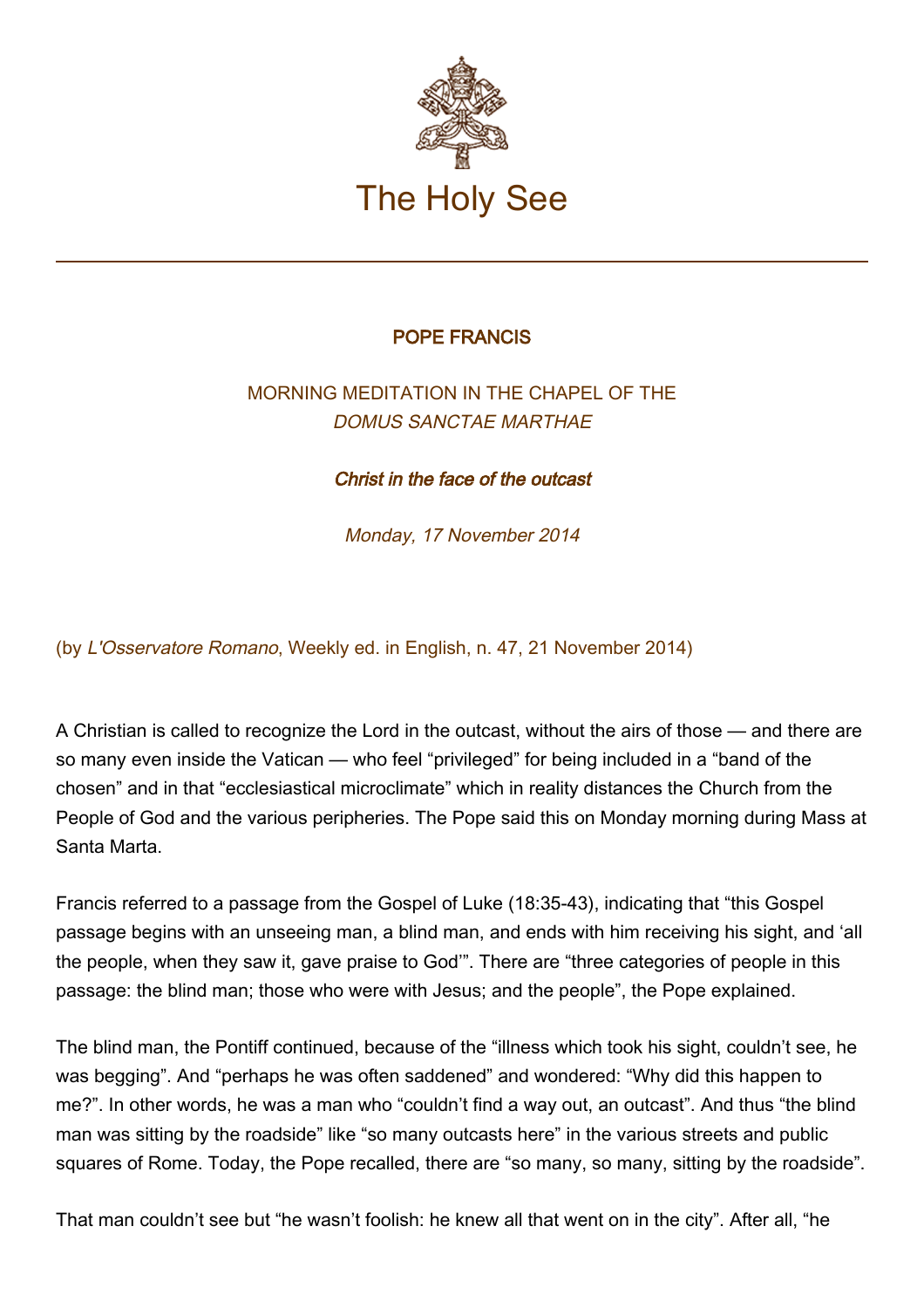

## POPE FRANCIS

## MORNING MEDITATION IN THE CHAPEL OF THE DOMUS SANCTAE MARTHAE

Christ in the face of the outcast

Monday, 17 November 2014

(by L'Osservatore Romano, Weekly ed. in English, n. 47, 21 November 2014)

A Christian is called to recognize the Lord in the outcast, without the airs of those — and there are so many even inside the Vatican — who feel "privileged" for being included in a "band of the chosen" and in that "ecclesiastical microclimate" which in reality distances the Church from the People of God and the various peripheries. The Pope said this on Monday morning during Mass at Santa Marta.

Francis referred to a passage from the Gospel of Luke (18:35-43), indicating that "this Gospel passage begins with an unseeing man, a blind man, and ends with him receiving his sight, and 'all the people, when they saw it, gave praise to God'". There are "three categories of people in this passage: the blind man; those who were with Jesus; and the people", the Pope explained.

The blind man, the Pontiff continued, because of the "illness which took his sight, couldn't see, he was begging". And "perhaps he was often saddened" and wondered: "Why did this happen to me?". In other words, he was a man who "couldn't find a way out, an outcast". And thus "the blind man was sitting by the roadside" like "so many outcasts here" in the various streets and public squares of Rome. Today, the Pope recalled, there are "so many, so many, sitting by the roadside".

That man couldn't see but "he wasn't foolish: he knew all that went on in the city". After all, "he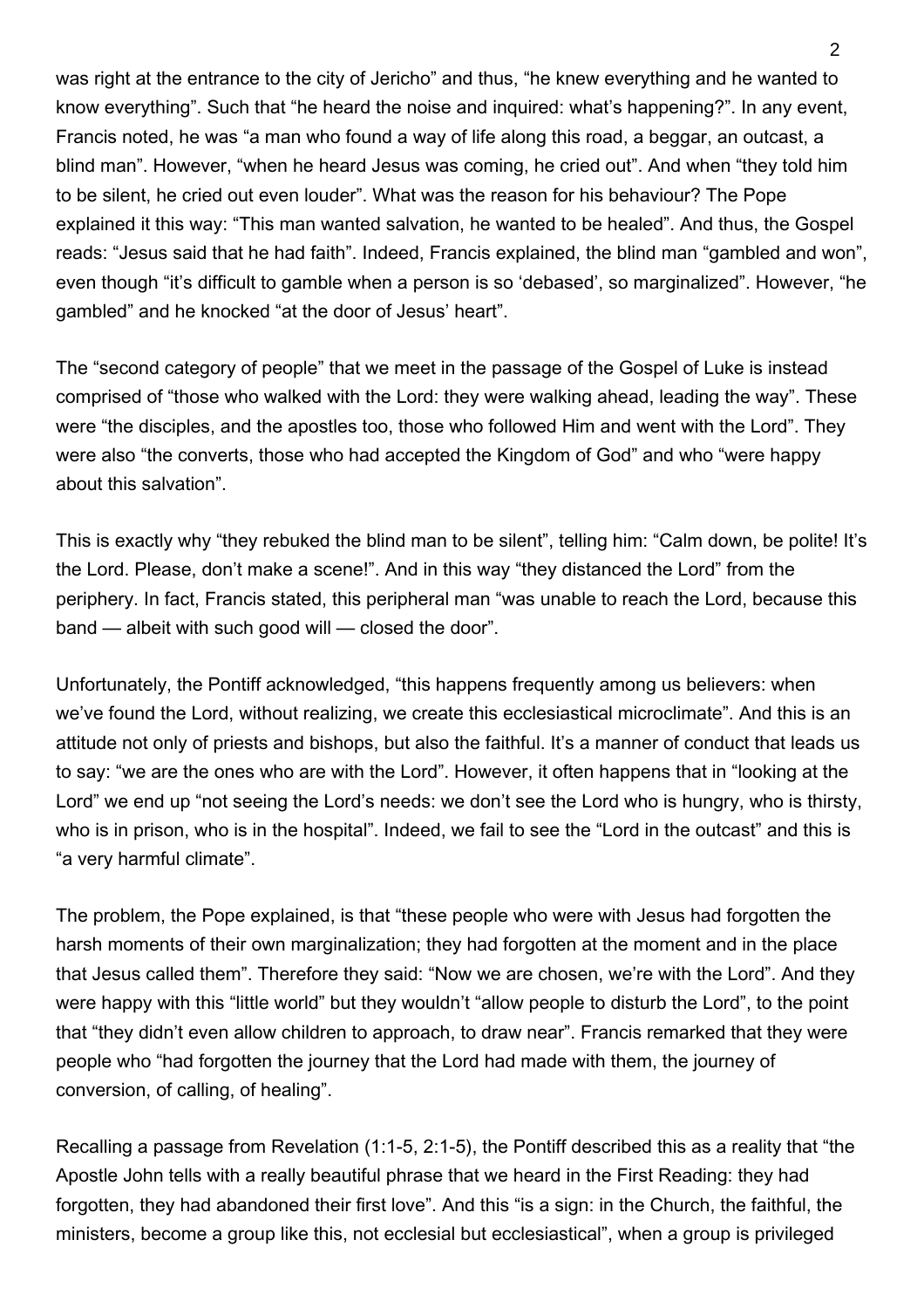was right at the entrance to the city of Jericho" and thus, "he knew everything and he wanted to know everything". Such that "he heard the noise and inquired: what's happening?". In any event, Francis noted, he was "a man who found a way of life along this road, a beggar, an outcast, a blind man". However, "when he heard Jesus was coming, he cried out". And when "they told him to be silent, he cried out even louder". What was the reason for his behaviour? The Pope explained it this way: "This man wanted salvation, he wanted to be healed". And thus, the Gospel reads: "Jesus said that he had faith". Indeed, Francis explained, the blind man "gambled and won", even though "it's difficult to gamble when a person is so 'debased', so marginalized". However, "he gambled" and he knocked "at the door of Jesus' heart".

The "second category of people" that we meet in the passage of the Gospel of Luke is instead comprised of "those who walked with the Lord: they were walking ahead, leading the way". These were "the disciples, and the apostles too, those who followed Him and went with the Lord". They were also "the converts, those who had accepted the Kingdom of God" and who "were happy about this salvation".

This is exactly why "they rebuked the blind man to be silent", telling him: "Calm down, be polite! It's the Lord. Please, don't make a scene!". And in this way "they distanced the Lord" from the periphery. In fact, Francis stated, this peripheral man "was unable to reach the Lord, because this band — albeit with such good will — closed the door".

Unfortunately, the Pontiff acknowledged, "this happens frequently among us believers: when we've found the Lord, without realizing, we create this ecclesiastical microclimate". And this is an attitude not only of priests and bishops, but also the faithful. It's a manner of conduct that leads us to say: "we are the ones who are with the Lord". However, it often happens that in "looking at the Lord" we end up "not seeing the Lord's needs: we don't see the Lord who is hungry, who is thirsty, who is in prison, who is in the hospital". Indeed, we fail to see the "Lord in the outcast" and this is "a very harmful climate".

The problem, the Pope explained, is that "these people who were with Jesus had forgotten the harsh moments of their own marginalization; they had forgotten at the moment and in the place that Jesus called them". Therefore they said: "Now we are chosen, we're with the Lord". And they were happy with this "little world" but they wouldn't "allow people to disturb the Lord", to the point that "they didn't even allow children to approach, to draw near". Francis remarked that they were people who "had forgotten the journey that the Lord had made with them, the journey of conversion, of calling, of healing".

Recalling a passage from Revelation (1:1-5, 2:1-5), the Pontiff described this as a reality that "the Apostle John tells with a really beautiful phrase that we heard in the First Reading: they had forgotten, they had abandoned their first love". And this "is a sign: in the Church, the faithful, the ministers, become a group like this, not ecclesial but ecclesiastical", when a group is privileged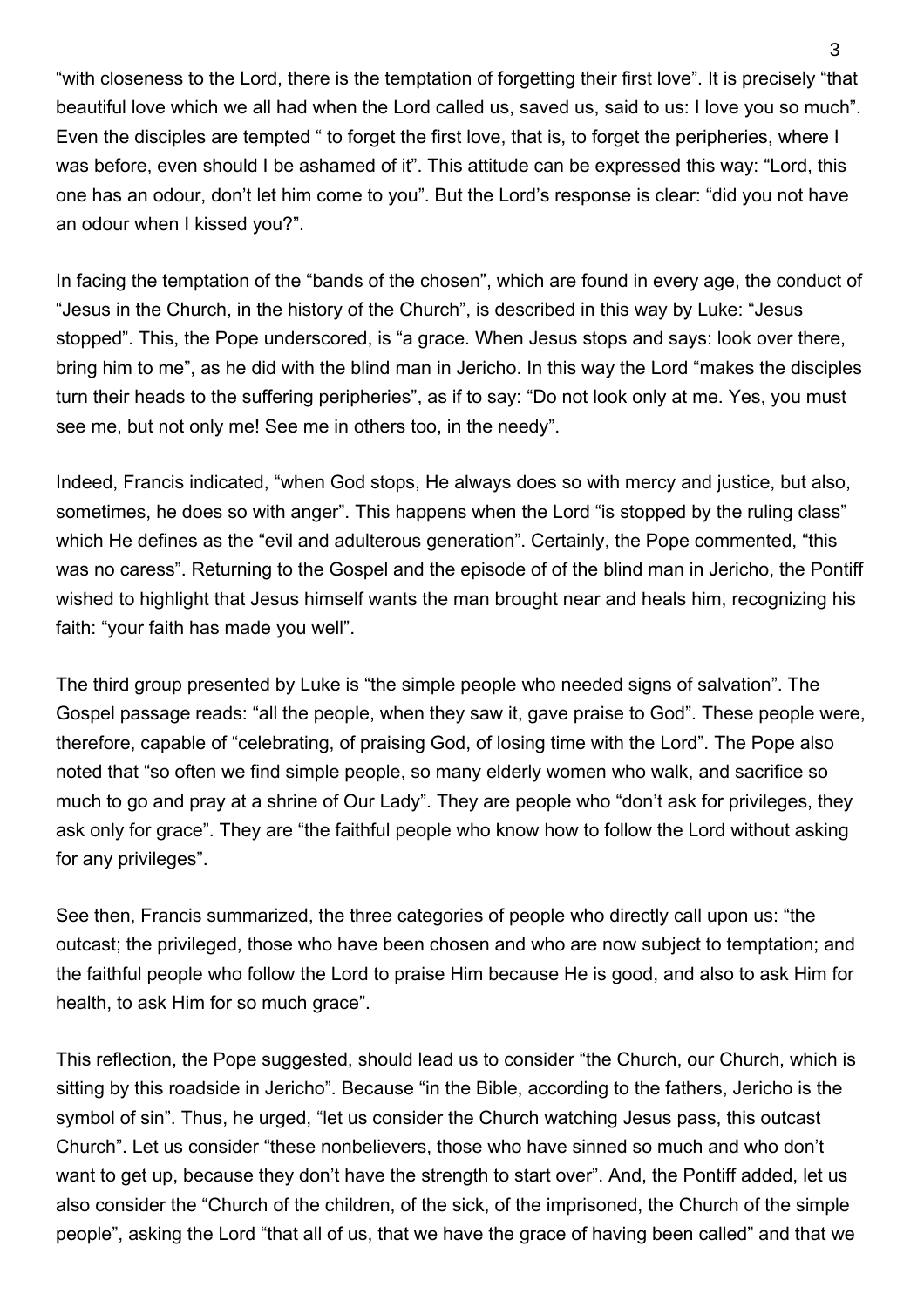"with closeness to the Lord, there is the temptation of forgetting their first love". It is precisely "that beautiful love which we all had when the Lord called us, saved us, said to us: I love you so much". Even the disciples are tempted " to forget the first love, that is, to forget the peripheries, where I was before, even should I be ashamed of it". This attitude can be expressed this way: "Lord, this one has an odour, don't let him come to you". But the Lord's response is clear: "did you not have an odour when I kissed you?".

In facing the temptation of the "bands of the chosen", which are found in every age, the conduct of "Jesus in the Church, in the history of the Church", is described in this way by Luke: "Jesus stopped". This, the Pope underscored, is "a grace. When Jesus stops and says: look over there, bring him to me", as he did with the blind man in Jericho. In this way the Lord "makes the disciples turn their heads to the suffering peripheries", as if to say: "Do not look only at me. Yes, you must see me, but not only me! See me in others too, in the needy".

Indeed, Francis indicated, "when God stops, He always does so with mercy and justice, but also, sometimes, he does so with anger". This happens when the Lord "is stopped by the ruling class" which He defines as the "evil and adulterous generation". Certainly, the Pope commented, "this was no caress". Returning to the Gospel and the episode of of the blind man in Jericho, the Pontiff wished to highlight that Jesus himself wants the man brought near and heals him, recognizing his faith: "your faith has made you well".

The third group presented by Luke is "the simple people who needed signs of salvation". The Gospel passage reads: "all the people, when they saw it, gave praise to God". These people were, therefore, capable of "celebrating, of praising God, of losing time with the Lord". The Pope also noted that "so often we find simple people, so many elderly women who walk, and sacrifice so much to go and pray at a shrine of Our Lady". They are people who "don't ask for privileges, they ask only for grace". They are "the faithful people who know how to follow the Lord without asking for any privileges".

See then, Francis summarized, the three categories of people who directly call upon us: "the outcast; the privileged, those who have been chosen and who are now subject to temptation; and the faithful people who follow the Lord to praise Him because He is good, and also to ask Him for health, to ask Him for so much grace".

This reflection, the Pope suggested, should lead us to consider "the Church, our Church, which is sitting by this roadside in Jericho". Because "in the Bible, according to the fathers, Jericho is the symbol of sin". Thus, he urged, "let us consider the Church watching Jesus pass, this outcast Church". Let us consider "these nonbelievers, those who have sinned so much and who don't want to get up, because they don't have the strength to start over". And, the Pontiff added, let us also consider the "Church of the children, of the sick, of the imprisoned, the Church of the simple people", asking the Lord "that all of us, that we have the grace of having been called" and that we